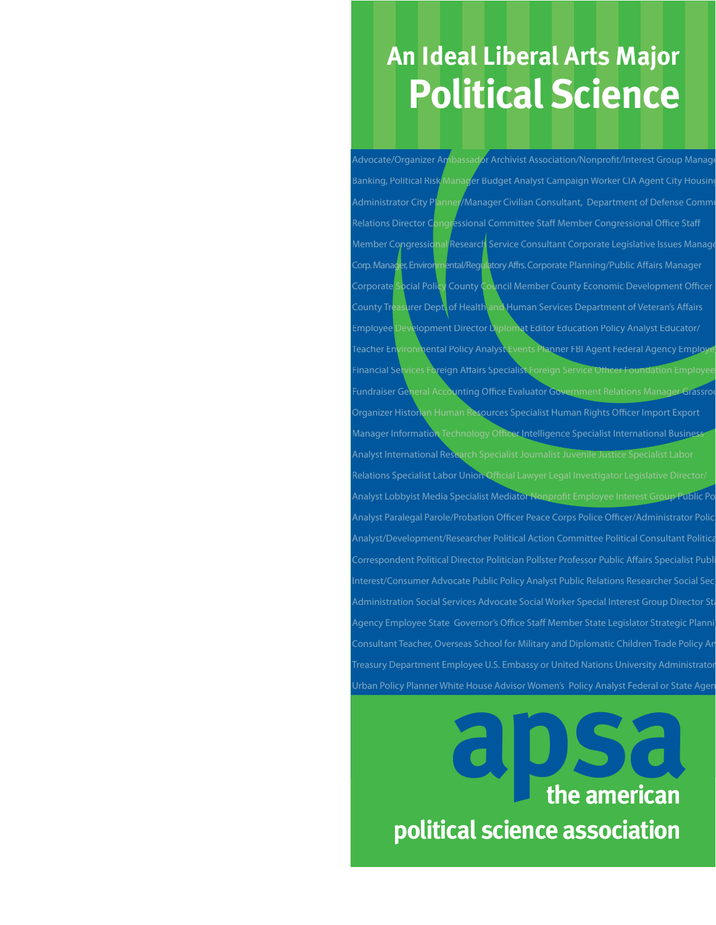## **Political Science An Ideal Liberal Arts Major**

Advocate/Organizer Ambassador Archivist Association/Nonprofit/Interest Group Manage Banking, Political Risk Manager Budget Analyst Campaign Worker CIA Agent City Housing Administrator City Planner/Manager Civilian Consultant, Department of Defense Commi Relations Director Congressional Committee Staff Member Congressional Office Staff Congressional Research Service Consultant Corporate Legislative Issues Manage r, Environmental/Regulatory Affrs. Corporate Planning/Public Affairs Manager cial Policy County Council Member County Economic Development Officer surer Dept. of Health and Human Services Department of Veteran's Affairs  ${\mathfrak e}$ lopment Director Diplomat Editor Education Policy Analyst Educator/ ironmental Policy Analyst Events Planner FBI Agent Federal Agency Employ inancial Services Foreign Affairs Specialist Foreign Service Officer undraiser General Accounting Office Evaluator Government Relations Manager Grassroo Organizer Historian Human Resources Specialist Human Rights Officer Import Export Manager Information Technology Officer Intelligence Specialist International Busines Analyst International Research Specialist Journalist Juvenile Justice Specialist Labo Relations Specialist Labor Union Official Lawyer Legal Investigator Legislative Director/ Analyst Lobbyist Media Specialist Mediator Nonprofit Employee Interest Group Analyst Paralegal Parole/Probation Officer Peace Corps Police Officer/Administrator Policy /Development/Researcher Political Action Committee Political Consultant Politic dent Political Director Politician Pollster Professor Public Affairs Specialist Pub est/Consumer Advocate Public Policy Analyst Public Relations Researcher Social Sec Administration Social Services Advocate Social Worker Special Interest Group Director Sta Agency Employee State Governor's Office Staff Member State Legislator Strategic Plannin Consultant Teacher, Overseas School for Military and Diplomatic Children Trade Policy An Treasury Department Employee U.S. Embassy or United Nations University Administrator Urban Policy Planner White House Advisor Women's Policy Analyst Federal or State Agen

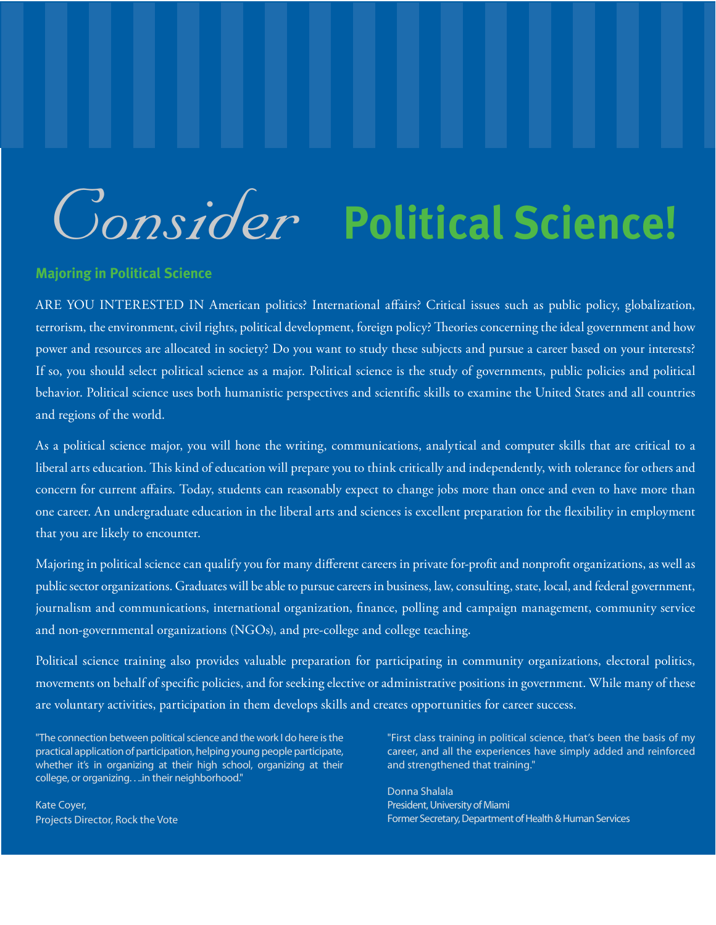## *Consider* **Political Science!**

#### **Majoring in Political Science**

ARE YOU INTERESTED IN American politics? International affairs? Critical issues such as public policy, globalization, terrorism, the environment, civil rights, political development, foreign policy? Theories concerning the ideal government and how power and resources are allocated in society? Do you want to study these subjects and pursue a career based on your interests? If so, you should select political science as a major. Political science is the study of governments, public policies and political behavior. Political science uses both humanistic perspectives and scientific skills to examine the United States and all countries and regions of the world.

As a political science major, you will hone the writing, communications, analytical and computer skills that are critical to a liberal arts education. This kind of education will prepare you to think critically and independently, with tolerance for others and concern for current affairs. Today, students can reasonably expect to change jobs more than once and even to have more than one career. An undergraduate education in the liberal arts and sciences is excellent preparation for the flexibility in employment that you are likely to encounter.

Majoring in political science can qualify you for many different careers in private for-profit and nonprofit organizations, as well as public sector organizations. Graduates will be able to pursue careers in business, law, consulting, state, local, and federal government, journalism and communications, international organization, finance, polling and campaign management, community service and non-governmental organizations (NGOs), and pre-college and college teaching.

Political science training also provides valuable preparation for participating in community organizations, electoral politics, movements on behalf of specific policies, and for seeking elective or administrative positions in government. While many of these are voluntary activities, participation in them develops skills and creates opportunities for career success.

"The connection between political science and the work I do here is the practical application of participation, helping young people participate, whether it's in organizing at their high school, organizing at their college, or organizing. . ..in their neighborhood."

Kate Coyer, Projects Director, Rock the Vote "First class training in political science, that's been the basis of my career, and all the experiences have simply added and reinforced and strengthened that training."

Donna Shalala President, University of Miami Former Secretary, Department of Health & Human Services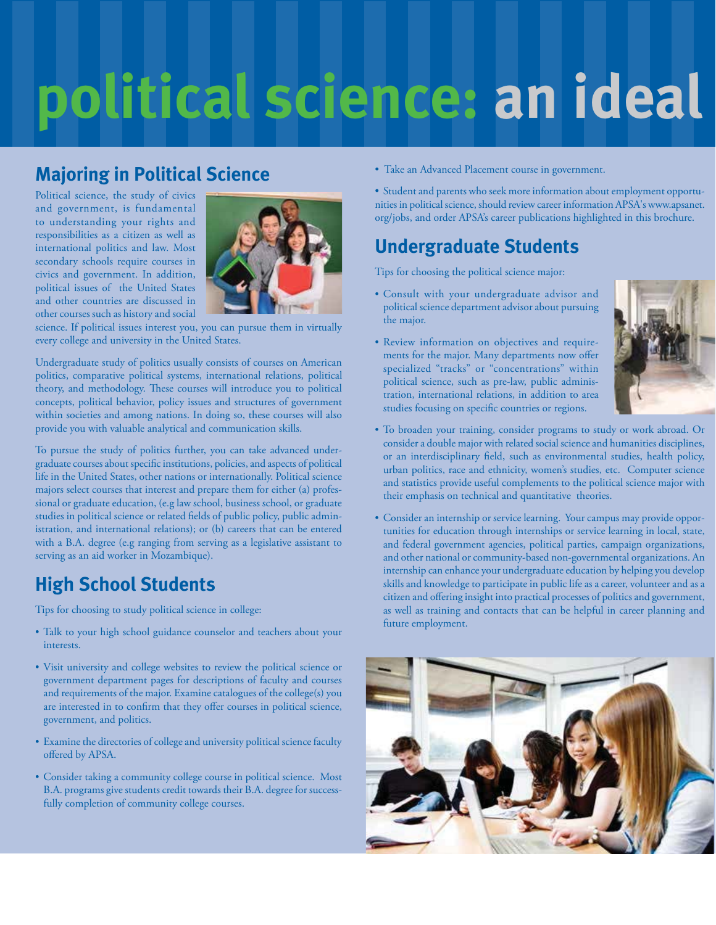# **political science: an ideal**

## **Majoring in Political Science**

Political science, the study of civics and government, is fundamental to understanding your rights and responsibilities as a citizen as well as international politics and law. Most secondary schools require courses in civics and government. In addition, political issues of the United States and other countries are discussed in other courses such as history and social



science. If political issues interest you, you can pursue them in virtually every college and university in the United States.

Undergraduate study of politics usually consists of courses on American politics, comparative political systems, international relations, political theory, and methodology. These courses will introduce you to political concepts, political behavior, policy issues and structures of government within societies and among nations. In doing so, these courses will also provide you with valuable analytical and communication skills.

To pursue the study of politics further, you can take advanced undergraduate courses about specific institutions, policies, and aspects of political life in the United States, other nations or internationally. Political science majors select courses that interest and prepare them for either (a) professional or graduate education, (e.g law school, business school, or graduate studies in political science or related fields of public policy, public administration, and international relations); or (b) careers that can be entered with a B.A. degree (e.g ranging from serving as a legislative assistant to serving as an aid worker in Mozambique).

## **High School Students**

Tips for choosing to study political science in college:

- Talk to your high school guidance counselor and teachers about your interests.
- Visit university and college websites to review the political science or government department pages for descriptions of faculty and courses and requirements of the major. Examine catalogues of the college(s) you are interested in to confirm that they offer courses in political science, government, and politics.
- Examine the directories of college and university political science faculty offered by APSA.
- Consider taking a community college course in political science. Most B.A. programs give students credit towards their B.A. degree for successfully completion of community college courses.
- Take an Advanced Placement course in government.
- Student and parents who seek more information about employment opportunities in political science, should review career information APSA's www.apsanet. org/jobs, and order APSA's career publications highlighted in this brochure.

## **Undergraduate Students**

Tips for choosing the political science major:

- Consult with your undergraduate advisor and political science department advisor about pursuing the major.
- Review information on objectives and requirements for the major. Many departments now offer specialized "tracks" or "concentrations" within political science, such as pre-law, public administration, international relations, in addition to area studies focusing on specific countries or regions.



- To broaden your training, consider programs to study or work abroad. Or consider a double major with related social science and humanities disciplines, or an interdisciplinary field, such as environmental studies, health policy, urban politics, race and ethnicity, women's studies, etc. Computer science and statistics provide useful complements to the political science major with their emphasis on technical and quantitative theories.
- Consider an internship or service learning. Your campus may provide opportunities for education through internships or service learning in local, state, and federal government agencies, political parties, campaign organizations, and other national or community-based non-governmental organizations. An internship can enhance your undergraduate education by helping you develop skills and knowledge to participate in public life as a career, volunteer and as a citizen and offering insight into practical processes of politics and government, as well as training and contacts that can be helpful in career planning and future employment.

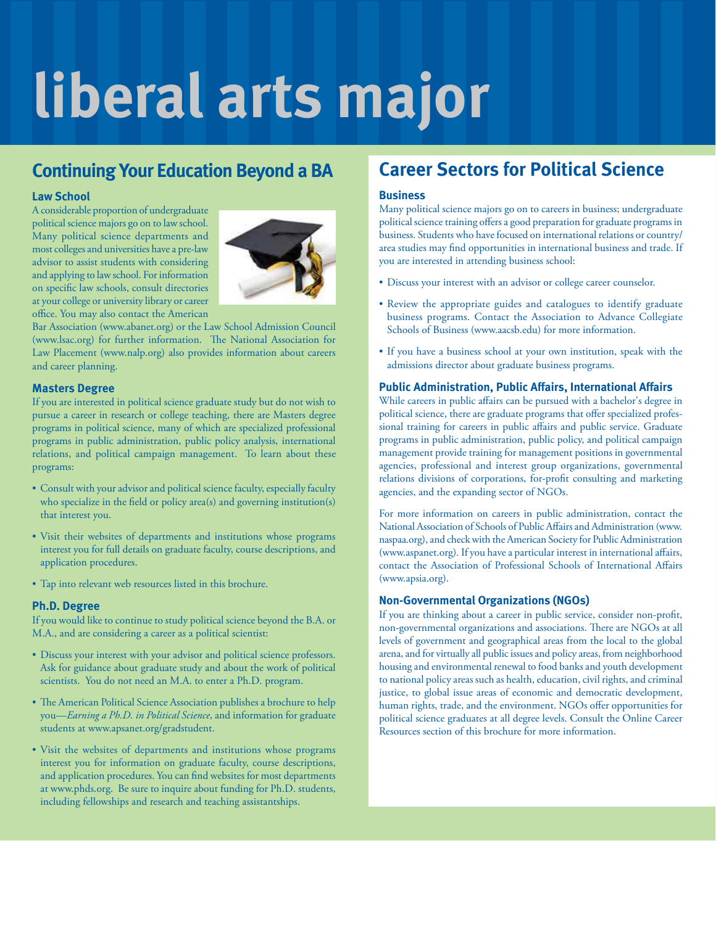## **liberal arts major**

### **Continuing Your Education Beyond a BA**

#### **Law School**

A considerable proportion of undergraduate political science majors go on to law school. Many political science departments and most colleges and universities have a pre-law advisor to assist students with considering and applying to law school. For information on specific law schools, consult directories at your college or university library or career office. You may also contact the American



Bar Association (www.abanet.org) or the Law School Admission Council (www.lsac.org) for further information. The National Association for Law Placement (www.nalp.org) also provides information about careers and career planning.

#### **Masters Degree**

If you are interested in political science graduate study but do not wish to pursue a career in research or college teaching, there are Masters degree programs in political science, many of which are specialized professional programs in public administration, public policy analysis, international relations, and political campaign management. To learn about these programs:

- Consult with your advisor and political science faculty, especially faculty who specialize in the field or policy area(s) and governing institution(s) that interest you.
- Visit their websites of departments and institutions whose programs interest you for full details on graduate faculty, course descriptions, and application procedures.
- Tap into relevant web resources listed in this brochure.

#### **Ph.D. Degree**

If you would like to continue to study political science beyond the B.A. or M.A., and are considering a career as a political scientist:

- Discuss your interest with your advisor and political science professors. Ask for guidance about graduate study and about the work of political scientists. You do not need an M.A. to enter a Ph.D. program.
- The American Political Science Association publishes a brochure to help you—*Earning a Ph.D. in Political Science*, and information for graduate students at www.apsanet.org/gradstudent.
- Visit the websites of departments and institutions whose programs interest you for information on graduate faculty, course descriptions, and application procedures. You can find websites for most departments at www.phds.org. Be sure to inquire about funding for Ph.D. students, including fellowships and research and teaching assistantships.

### **Career Sectors for Political Science**

#### **Business**

Many political science majors go on to careers in business; undergraduate political science training offers a good preparation for graduate programs in business. Students who have focused on international relations or country/ area studies may find opportunities in international business and trade. If you are interested in attending business school:

- Discuss your interest with an advisor or college career counselor.
- Review the appropriate guides and catalogues to identify graduate business programs. Contact the Association to Advance Collegiate Schools of Business (www.aacsb.edu) for more information.
- If you have a business school at your own institution, speak with the admissions director about graduate business programs.

#### **Public Administration, Public Affairs, International Affairs**

While careers in public affairs can be pursued with a bachelor's degree in political science, there are graduate programs that offer specialized professional training for careers in public affairs and public service. Graduate programs in public administration, public policy, and political campaign management provide training for management positions in governmental agencies, professional and interest group organizations, governmental relations divisions of corporations, for-profit consulting and marketing agencies, and the expanding sector of NGOs.

For more information on careers in public administration, contact the National Association of Schools of Public Affairs and Administration (www. naspaa.org), and check with the American Society for Public Administration (www.aspanet.org). If you have a particular interest in international affairs, contact the Association of Professional Schools of International Affairs (www.apsia.org).

#### **Non-Governmental Organizations (NGOs)**

If you are thinking about a career in public service, consider non-profit, non-governmental organizations and associations. There are NGOs at all levels of government and geographical areas from the local to the global arena, and for virtually all public issues and policy areas, from neighborhood housing and environmental renewal to food banks and youth development to national policy areas such as health, education, civil rights, and criminal justice, to global issue areas of economic and democratic development, human rights, trade, and the environment. NGOs offer opportunities for political science graduates at all degree levels. Consult the Online Career Resources section of this brochure for more information.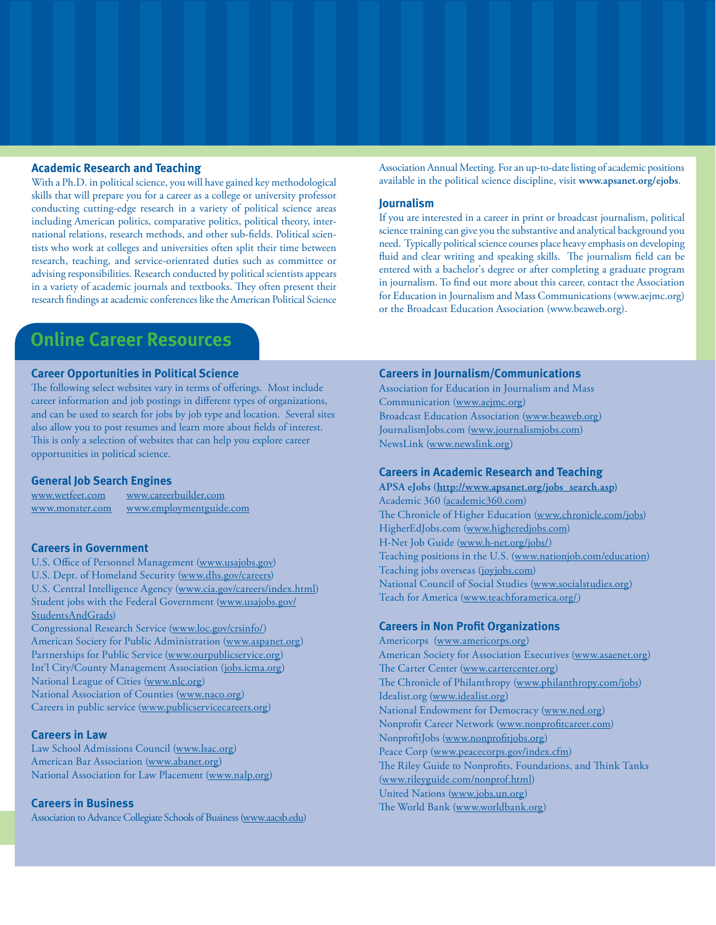#### **Academic Research and Teaching**

With a Ph.D. in political science, you will have gained key methodological skills that will prepare you for a career as a college or university professor conducting cutting-edge research in a variety of political science areas including American politics, comparative politics, political theory, international relations, research methods, and other sub-fields. Political scientists who work at colleges and universities often split their time between research, teaching, and service-orientated duties such as committee or advising responsibilities. Research conducted by political scientists appears in a variety of academic journals and textbooks. They often present their research findings at academic conferences like the American Political Science

**Online Career Resources**

#### **Career Opportunities in Political Science**

The following select websites vary in terms of offerings. Most include career information and job postings in different types of organizations, and can be used to search for jobs by job type and location. Several sites also allow you to post resumes and learn more about fields of interest. This is only a selection of websites that can help you explore career opportunities in political science.

#### **General Job Search Engines**

www.wetfeet.com www.careerbuilder.com www.monster.com www.employmentguide.com

#### **Careers in Government**

U.S. Office of Personnel Management (www.usajobs.gov) U.S. Dept. of Homeland Security (www.dhs.gov/careers) U.S. Central Intelligence Agency (www.cia.gov/careers/index.html) Student jobs with the Federal Government (www.usajobs.gov/ StudentsAndGrads)

Congressional Research Service (www.loc.gov/crsinfo/) American Society for Public Administration (www.aspanet.org) Partnerships for Public Service (www.ourpublicservice.org) Int'l City/County Management Association (jobs.icma.org) National League of Cities (www.nlc.org) National Association of Counties (www.naco.org) Careers in public service (www.publicservicecareers.org)

#### **Careers in Law**

Law School Admissions Council (www.lsac.org) American Bar Association (www.abanet.org) National Association for Law Placement (www.nalp.org)

#### **Careers in Business**

Association to Advance Collegiate Schools of Business (www.aacsb.edu)

Association Annual Meeting. For an up-to-date listing of academic positions available in the political science discipline, visit **www.apsanet.org/ejobs**.

#### **Journalism**

If you are interested in a career in print or broadcast journalism, political science training can give you the substantive and analytical background you need. Typically political science courses place heavy emphasis on developing fluid and clear writing and speaking skills. The journalism field can be entered with a bachelor's degree or after completing a graduate program in journalism. To find out more about this career, contact the Association for Education in Journalism and Mass Communications (www.aejmc.org) or the Broadcast Education Association (www.beaweb.org).

#### **Careers in Journalism/Communications**

Association for Education in Journalism and Mass Communication (www.aejmc.org) Broadcast Education Association (www.beaweb.org) JournalismJobs.com (www.journalismjobs.com) NewsLink (www.newslink.org)

#### **Careers in Academic Research and Teaching**

**APSA eJobs (http://www.apsanet.org/jobs\_search.asp)** Academic 360 (academic360.com) The Chronicle of Higher Education (www.chronicle.com/jobs) HigherEdJobs.com (www.higheredjobs.com) H-Net Job Guide (www.h-net.org/jobs/) Teaching positions in the U.S. (www.nationjob.com/education) Teaching jobs overseas (joyjobs.com) National Council of Social Studies (www.socialstudies.org) Teach for America (www.teachforamerica.org/)

#### **Careers in Non Profit Organizations**

Americorps (www.americorps.org) American Society for Association Executives (www.asaenet.org) The Carter Center (www.cartercenter.org) The Chronicle of Philanthropy (www.philanthropy.com/jobs) Idealist.org (www.idealist.org) National Endowment for Democracy (www.ned.org) Nonprofit Career Network (www.nonprofitcareer.com) NonprofitJobs (www.nonprofitjobs.org) Peace Corp (www.peacecorps.gov/index.cfm) The Riley Guide to Nonprofits, Foundations, and Think Tanks (www.rileyguide.com/nonprof.html) United Nations (www.jobs.un.org) The World Bank (www.worldbank.org)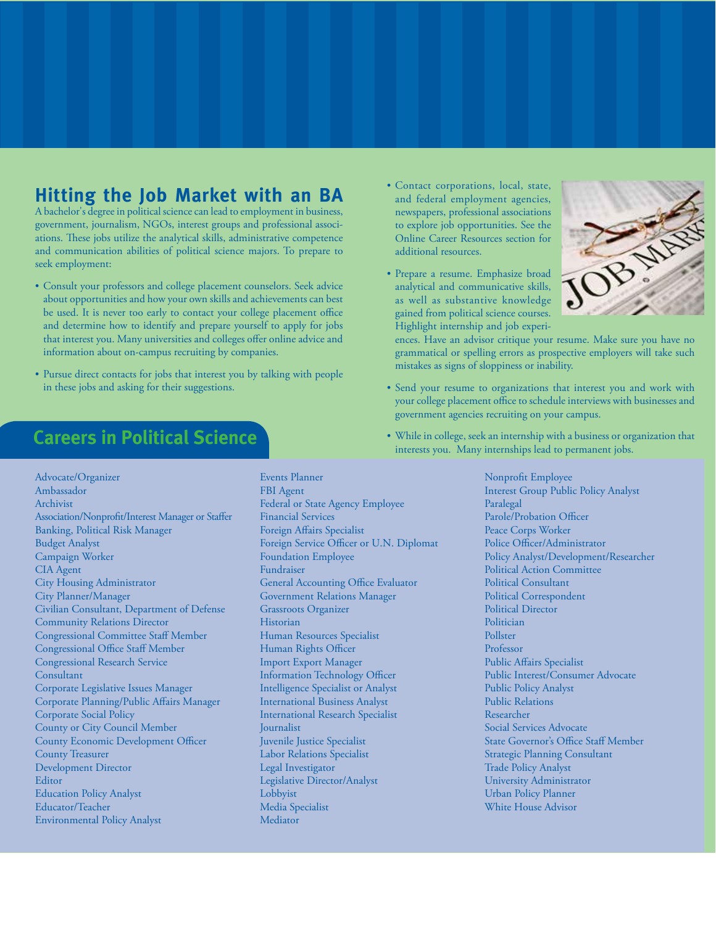### **Hitting the Job Market with an BA**

A bachelor's degree in political science can lead to employment in business, government, journalism, NGOs, interest groups and professional associations. These jobs utilize the analytical skills, administrative competence and communication abilities of political science majors. To prepare to seek employment:

- Consult your professors and college placement counselors. Seek advice about opportunities and how your own skills and achievements can best be used. It is never too early to contact your college placement office and determine how to identify and prepare yourself to apply for jobs that interest you. Many universities and colleges offer online advice and information about on-campus recruiting by companies.
- Pursue direct contacts for jobs that interest you by talking with people in these jobs and asking for their suggestions.

## **Careers in Political Science**

- Advocate/Organizer Ambassador Archivist Association/Nonprofit/Interest Manager or Staffer Banking, Political Risk Manager Budget Analyst Campaign Worker CIA Agent City Housing Administrator City Planner/Manager Civilian Consultant, Department of Defense Community Relations Director Congressional Committee Staff Member Congressional Office Staff Member Congressional Research Service **Consultant** Corporate Legislative Issues Manager Corporate Planning/Public Affairs Manager Corporate Social Policy County or City Council Member County Economic Development Officer County Treasurer Development Director **Editor** Education Policy Analyst Educator/Teacher Environmental Policy Analyst
- Events Planner FBI Agent Federal or State Agency Employee Financial Services Foreign Affairs Specialist Foreign Service Officer or U.N. Diplomat Foundation Employee Fundraiser General Accounting Office Evaluator Government Relations Manager Grassroots Organizer Historian Human Resources Specialist Human Rights Officer Import Export Manager Information Technology Officer Intelligence Specialist or Analyst International Business Analyst International Research Specialist Journalist Juvenile Justice Specialist Labor Relations Specialist Legal Investigator Legislative Director/Analyst Lobbyist Media Specialist Mediator
- Contact corporations, local, state, and federal employment agencies, newspapers, professional associations to explore job opportunities. See the Online Career Resources section for additional resources.
- Prepare a resume. Emphasize broad analytical and communicative skills, as well as substantive knowledge gained from political science courses. Highlight internship and job experi-



ences. Have an advisor critique your resume. Make sure you have no grammatical or spelling errors as prospective employers will take such mistakes as signs of sloppiness or inability.

- Send your resume to organizations that interest you and work with your college placement office to schedule interviews with businesses and government agencies recruiting on your campus.
- While in college, seek an internship with a business or organization that interests you. Many internships lead to permanent jobs.

Nonprofit Employee Interest Group Public Policy Analyst Paralegal Parole/Probation Officer Peace Corps Worker Police Officer/Administrator Policy Analyst/Development/Researcher Political Action Committee Political Consultant Political Correspondent Political Director Politician Pollster Professor Public Affairs Specialist Public Interest/Consumer Advocate Public Policy Analyst Public Relations Researcher Social Services Advocate State Governor's Office Staff Member Strategic Planning Consultant Trade Policy Analyst University Administrator Urban Policy Planner White House Advisor